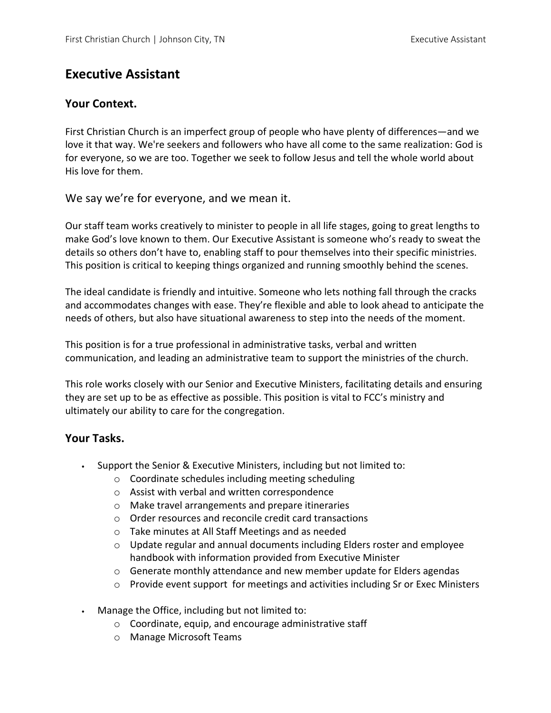# **Executive Assistant**

### **Your Context.**

First Christian Church is an imperfect group of people who have plenty of differences—and we love it that way. We're seekers and followers who have all come to the same realization: God is for everyone, so we are too. Together we seek to follow Jesus and tell the whole world about His love for them.

We say we're for everyone, and we mean it.

Our staff team works creatively to minister to people in all life stages, going to great lengths to make God's love known to them. Our Executive Assistant is someone who's ready to sweat the details so others don't have to, enabling staff to pour themselves into their specific ministries. This position is critical to keeping things organized and running smoothly behind the scenes.

The ideal candidate is friendly and intuitive. Someone who lets nothing fall through the cracks and accommodates changes with ease. They're flexible and able to look ahead to anticipate the needs of others, but also have situational awareness to step into the needs of the moment.

This position is for a true professional in administrative tasks, verbal and written communication, and leading an administrative team to support the ministries of the church.

This role works closely with our Senior and Executive Ministers, facilitating details and ensuring they are set up to be as effective as possible. This position is vital to FCC's ministry and ultimately our ability to care for the congregation.

## **Your Tasks.**

- Support the Senior & Executive Ministers, including but not limited to:
	- o Coordinate schedules including meeting scheduling
	- o Assist with verbal and written correspondence
	- o Make travel arrangements and prepare itineraries
	- o Order resources and reconcile credit card transactions
	- o Take minutes at All Staff Meetings and as needed
	- o Update regular and annual documents including Elders roster and employee handbook with information provided from Executive Minister
	- $\circ$  Generate monthly attendance and new member update for Elders agendas
	- o Provide event support for meetings and activities including Sr or Exec Ministers
- Manage the Office, including but not limited to:
	- o Coordinate, equip, and encourage administrative staff
	- o Manage Microsoft Teams